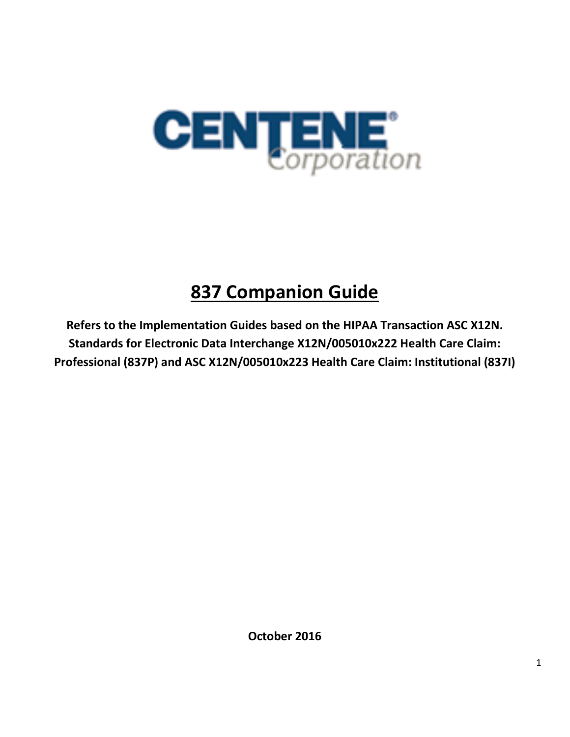

# **837 Companion Guide**

**Refers to the Implementation Guides based on the HIPAA Transaction ASC X12N. Standards for Electronic Data Interchange X12N/005010x222 Health Care Claim: Professional (837P) and ASC X12N/005010x223 Health Care Claim: Institutional (837I)** 

**October 2016**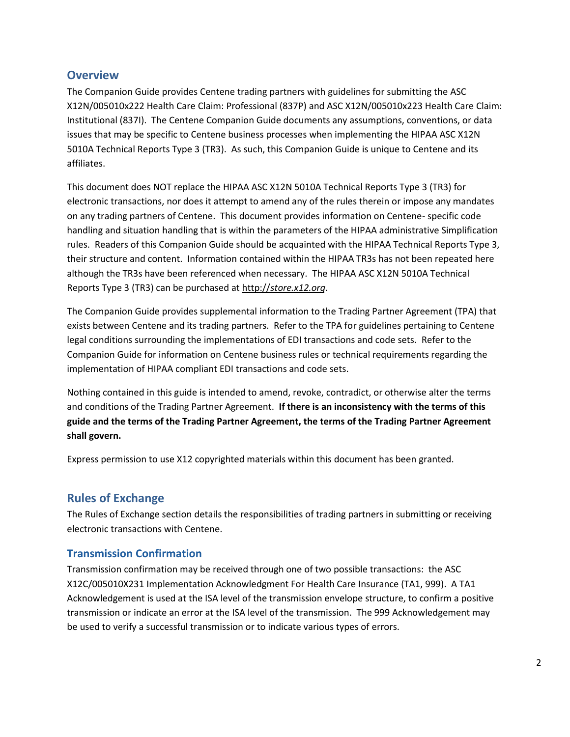## **Overview**

The Companion Guide provides Centene trading partners with guidelines for submitting the ASC X12N/005010x222 Health Care Claim: Professional (837P) and ASC X12N/005010x223 Health Care Claim: Institutional (837I). The Centene Companion Guide documents any assumptions, conventions, or data issues that may be specific to Centene business processes when implementing the HIPAA ASC X12N 5010A Technical Reports Type 3 (TR3). As such, this Companion Guide is unique to Centene and its affiliates.

This document does NOT replace the HIPAA ASC X12N 5010A Technical Reports Type 3 (TR3) for electronic transactions, nor does it attempt to amend any of the rules therein or impose any mandates on any trading partners of Centene. This document provides information on Centene- specific code handling and situation handling that is within the parameters of the HIPAA administrative Simplification rules. Readers of this Companion Guide should be acquainted with the HIPAA Technical Reports Type 3, their structure and content. Information contained within the HIPAA TR3s has not been repeated here although the TR3s have been referenced when necessary. The HIPAA ASC X12N 5010A Technical Reports Type 3 (TR3) can be purchased at http://*[store.x12.org](http://store.x12.org/store/)*.

The Companion Guide provides supplemental information to the Trading Partner Agreement (TPA) that exists between Centene and its trading partners. Refer to the TPA for guidelines pertaining to Centene legal conditions surrounding the implementations of EDI transactions and code sets. Refer to the Companion Guide for information on Centene business rules or technical requirements regarding the implementation of HIPAA compliant EDI transactions and code sets.

Nothing contained in this guide is intended to amend, revoke, contradict, or otherwise alter the terms and conditions of the Trading Partner Agreement. **If there is an inconsistency with the terms of this guide and the terms of the Trading Partner Agreement, the terms of the Trading Partner Agreement shall govern.** 

Express permission to use X12 copyrighted materials within this document has been granted.

## **Rules of Exchange**

The Rules of Exchange section details the responsibilities of trading partners in submitting or receiving electronic transactions with Centene.

## **Transmission Confirmation**

Transmission confirmation may be received through one of two possible transactions: the ASC X12C/005010X231 Implementation Acknowledgment For Health Care Insurance (TA1, 999). A TA1 Acknowledgement is used at the ISA level of the transmission envelope structure, to confirm a positive transmission or indicate an error at the ISA level of the transmission. The 999 Acknowledgement may be used to verify a successful transmission or to indicate various types of errors.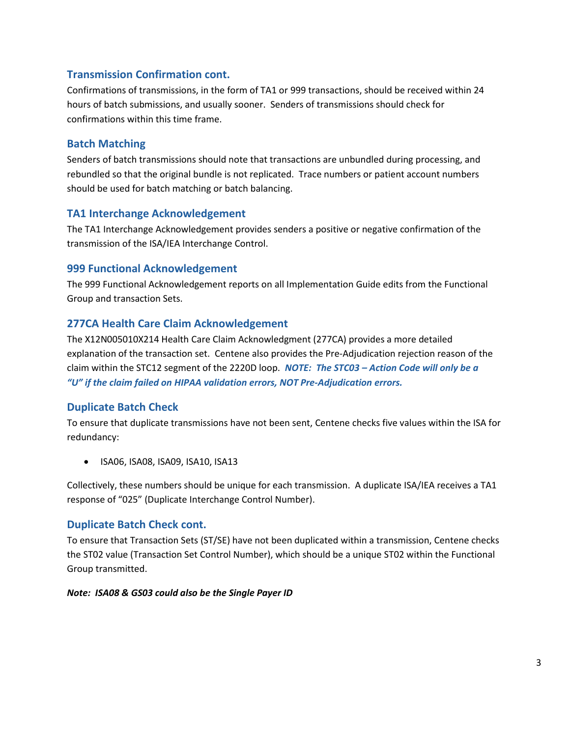## **Transmission Confirmation cont.**

Confirmations of transmissions, in the form of TA1 or 999 transactions, should be received within 24 hours of batch submissions, and usually sooner. Senders of transmissions should check for confirmations within this time frame.

## **Batch Matching**

Senders of batch transmissions should note that transactions are unbundled during processing, and rebundled so that the original bundle is not replicated. Trace numbers or patient account numbers should be used for batch matching or batch balancing.

## **TA1 Interchange Acknowledgement**

The TA1 Interchange Acknowledgement provides senders a positive or negative confirmation of the transmission of the ISA/IEA Interchange Control.

## **999 Functional Acknowledgement**

The 999 Functional Acknowledgement reports on all Implementation Guide edits from the Functional Group and transaction Sets.

## **277CA Health Care Claim Acknowledgement**

The X12N005010X214 Health Care Claim Acknowledgment (277CA) provides a more detailed explanation of the transaction set. Centene also provides the Pre-Adjudication rejection reason of the claim within the STC12 segment of the 2220D loop. *NOTE: The STC03 – Action Code will only be a "U" if the claim failed on HIPAA validation errors, NOT Pre-Adjudication errors.*

## **Duplicate Batch Check**

To ensure that duplicate transmissions have not been sent, Centene checks five values within the ISA for redundancy:

• ISA06, ISA08, ISA09, ISA10, ISA13

Collectively, these numbers should be unique for each transmission. A duplicate ISA/IEA receives a TA1 response of "025" (Duplicate Interchange Control Number).

## **Duplicate Batch Check cont.**

To ensure that Transaction Sets (ST/SE) have not been duplicated within a transmission, Centene checks the ST02 value (Transaction Set Control Number), which should be a unique ST02 within the Functional Group transmitted.

#### *Note: ISA08 & GS03 could also be the Single Payer ID*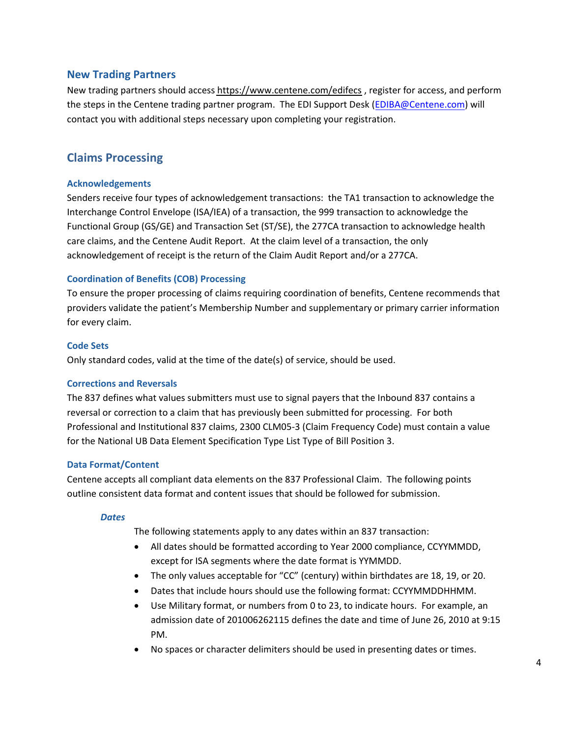### **New Trading Partners**

New trading partners should access [https://www.centene.com/edifecs](https://www.centene.com/contact.html) , register for access, and perform the steps in the Centene trading partner program. The EDI Support Desk [\(EDIBA@Centene.com\)](mailto:EDIBA@Centene.com) will contact you with additional steps necessary upon completing your registration.

## **Claims Processing**

#### **Acknowledgements**

Senders receive four types of acknowledgement transactions: the TA1 transaction to acknowledge the Interchange Control Envelope (ISA/IEA) of a transaction, the 999 transaction to acknowledge the Functional Group (GS/GE) and Transaction Set (ST/SE), the 277CA transaction to acknowledge health care claims, and the Centene Audit Report. At the claim level of a transaction, the only acknowledgement of receipt is the return of the Claim Audit Report and/or a 277CA.

### **Coordination of Benefits (COB) Processing**

To ensure the proper processing of claims requiring coordination of benefits, Centene recommends that providers validate the patient's Membership Number and supplementary or primary carrier information for every claim.

#### **Code Sets**

Only standard codes, valid at the time of the date(s) of service, should be used.

#### **Corrections and Reversals**

The 837 defines what values submitters must use to signal payers that the Inbound 837 contains a reversal or correction to a claim that has previously been submitted for processing. For both Professional and Institutional 837 claims, 2300 CLM05-3 (Claim Frequency Code) must contain a value for the National UB Data Element Specification Type List Type of Bill Position 3.

#### **Data Format/Content**

Centene accepts all compliant data elements on the 837 Professional Claim. The following points outline consistent data format and content issues that should be followed for submission.

#### *Dates*

The following statements apply to any dates within an 837 transaction:

- All dates should be formatted according to Year 2000 compliance, CCYYMMDD, except for ISA segments where the date format is YYMMDD.
- The only values acceptable for "CC" (century) within birthdates are 18, 19, or 20.
- Dates that include hours should use the following format: CCYYMMDDHHMM.
- Use Military format, or numbers from 0 to 23, to indicate hours. For example, an admission date of 201006262115 defines the date and time of June 26, 2010 at 9:15 PM.
- No spaces or character delimiters should be used in presenting dates or times.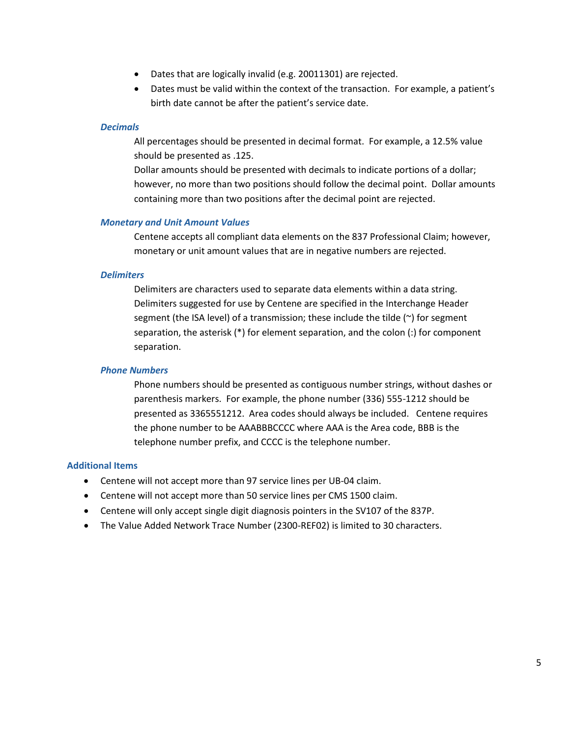- Dates that are logically invalid (e.g. 20011301) are rejected.
- Dates must be valid within the context of the transaction. For example, a patient's birth date cannot be after the patient's service date.

#### *Decimals*

All percentages should be presented in decimal format. For example, a 12.5% value should be presented as .125.

Dollar amounts should be presented with decimals to indicate portions of a dollar; however, no more than two positions should follow the decimal point. Dollar amounts containing more than two positions after the decimal point are rejected.

#### *Monetary and Unit Amount Values*

Centene accepts all compliant data elements on the 837 Professional Claim; however, monetary or unit amount values that are in negative numbers are rejected.

#### *Delimiters*

Delimiters are characters used to separate data elements within a data string. Delimiters suggested for use by Centene are specified in the Interchange Header segment (the ISA level) of a transmission; these include the tilde (~) for segment separation, the asterisk (\*) for element separation, and the colon (:) for component separation.

#### *Phone Numbers*

Phone numbers should be presented as contiguous number strings, without dashes or parenthesis markers. For example, the phone number (336) 555-1212 should be presented as 3365551212. Area codes should always be included. Centene requires the phone number to be AAABBBCCCC where AAA is the Area code, BBB is the telephone number prefix, and CCCC is the telephone number.

#### **Additional Items**

- Centene will not accept more than 97 service lines per UB-04 claim.
- Centene will not accept more than 50 service lines per CMS 1500 claim.
- Centene will only accept single digit diagnosis pointers in the SV107 of the 837P.
- The Value Added Network Trace Number (2300-REF02) is limited to 30 characters.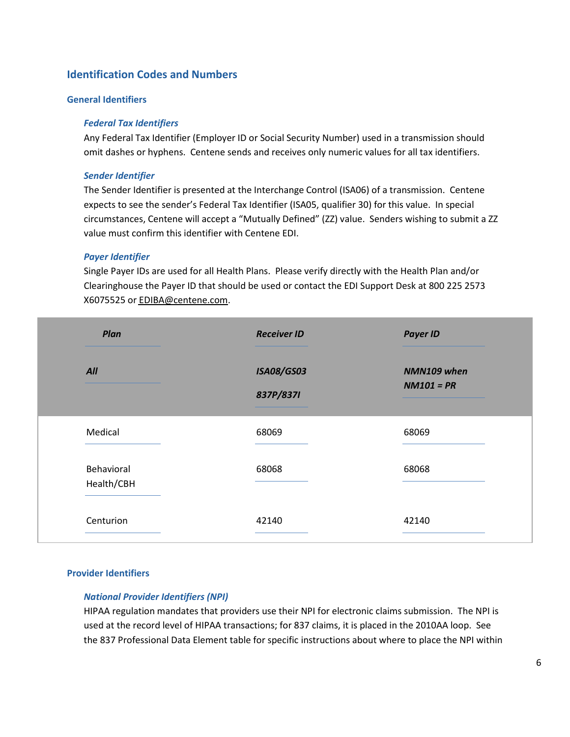## **Identification Codes and Numbers**

#### **General Identifiers**

#### *Federal Tax Identifiers*

Any Federal Tax Identifier (Employer ID or Social Security Number) used in a transmission should omit dashes or hyphens. Centene sends and receives only numeric values for all tax identifiers.

#### *Sender Identifier*

The Sender Identifier is presented at the Interchange Control (ISA06) of a transmission. Centene expects to see the sender's Federal Tax Identifier (ISA05, qualifier 30) for this value. In special circumstances, Centene will accept a "Mutually Defined" (ZZ) value. Senders wishing to submit a ZZ value must confirm this identifier with Centene EDI.

#### *Payer Identifier*

Single Payer IDs are used for all Health Plans. Please verify directly with the Health Plan and/or Clearinghouse the Payer ID that should be used or contact the EDI Support Desk at 800 225 2573 X6075525 or [EDIBA@centene.com.](EDI Support Desk Email Address)

| Plan                     | <b>Receiver ID</b>             | <b>Payer ID</b>             |
|--------------------------|--------------------------------|-----------------------------|
| All                      | <b>ISA08/GS03</b><br>837P/837I | NMN109 when<br>$NM101 = PR$ |
| Medical                  | 68069                          | 68069                       |
| Behavioral<br>Health/CBH | 68068                          | 68068                       |
| Centurion                | 42140                          | 42140                       |

#### **Provider Identifiers**

#### *National Provider Identifiers (NPI)*

HIPAA regulation mandates that providers use their NPI for electronic claims submission. The NPI is used at the record level of HIPAA transactions; for 837 claims, it is placed in the 2010AA loop. See the 837 Professional Data Element table for specific instructions about where to place the NPI within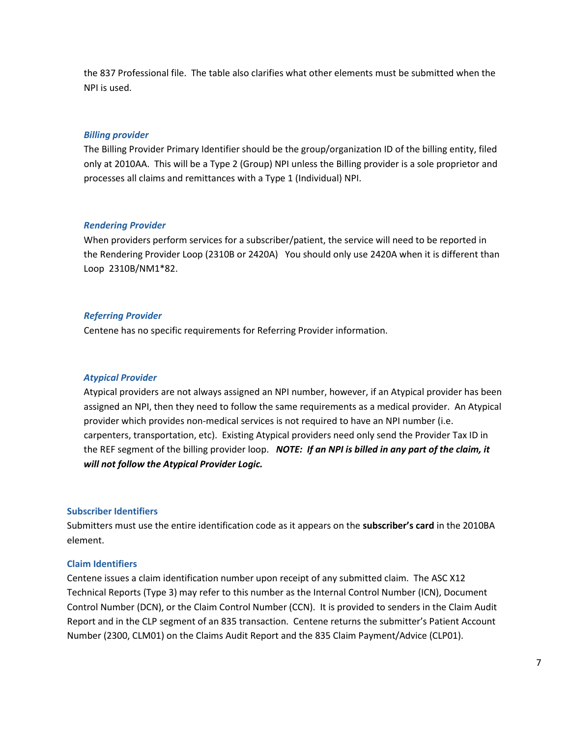the 837 Professional file. The table also clarifies what other elements must be submitted when the NPI is used.

#### *Billing provider*

The Billing Provider Primary Identifier should be the group/organization ID of the billing entity, filed only at 2010AA. This will be a Type 2 (Group) NPI unless the Billing provider is a sole proprietor and processes all claims and remittances with a Type 1 (Individual) NPI.

#### *Rendering Provider*

When providers perform services for a subscriber/patient, the service will need to be reported in the Rendering Provider Loop (2310B or 2420A) You should only use 2420A when it is different than Loop 2310B/NM1\*82.

#### *Referring Provider*

Centene has no specific requirements for Referring Provider information.

#### *Atypical Provider*

Atypical providers are not always assigned an NPI number, however, if an Atypical provider has been assigned an NPI, then they need to follow the same requirements as a medical provider. An Atypical provider which provides non-medical services is not required to have an NPI number (i.e. carpenters, transportation, etc). Existing Atypical providers need only send the Provider Tax ID in the REF segment of the billing provider loop. *NOTE: If an NPI is billed in any part of the claim, it will not follow the Atypical Provider Logic.* 

#### **Subscriber Identifiers**

Submitters must use the entire identification code as it appears on the **subscriber's card** in the 2010BA element.

#### **Claim Identifiers**

Centene issues a claim identification number upon receipt of any submitted claim. The ASC X12 Technical Reports (Type 3) may refer to this number as the Internal Control Number (ICN), Document Control Number (DCN), or the Claim Control Number (CCN). It is provided to senders in the Claim Audit Report and in the CLP segment of an 835 transaction. Centene returns the submitter's Patient Account Number (2300, CLM01) on the Claims Audit Report and the 835 Claim Payment/Advice (CLP01).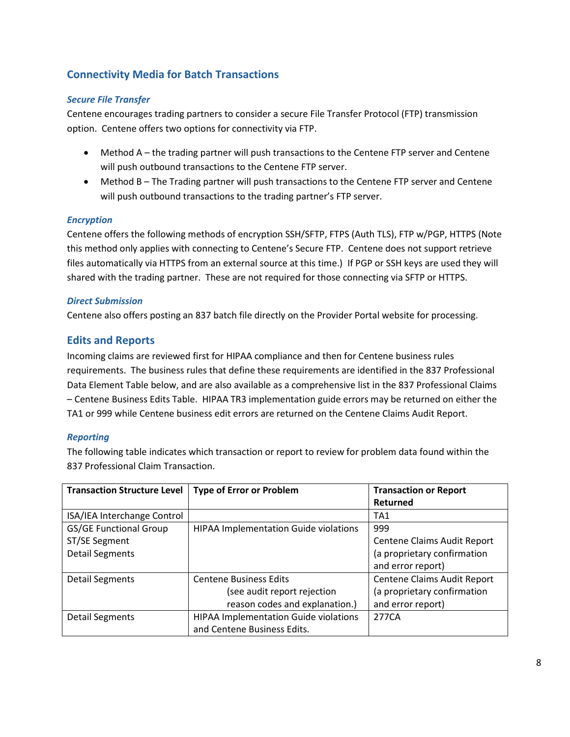## **Connectivity Media for Batch Transactions**

#### *Secure File Transfer*

Centene encourages trading partners to consider a secure File Transfer Protocol (FTP) transmission option. Centene offers two options for connectivity via FTP.

- Method A the trading partner will push transactions to the Centene FTP server and Centene will push outbound transactions to the Centene FTP server.
- Method B The Trading partner will push transactions to the Centene FTP server and Centene will push outbound transactions to the trading partner's FTP server.

#### *Encryption*

Centene offers the following methods of encryption SSH/SFTP, FTPS (Auth TLS), FTP w/PGP, HTTPS (Note this method only applies with connecting to Centene's Secure FTP. Centene does not support retrieve files automatically via HTTPS from an external source at this time.) If PGP or SSH keys are used they will shared with the trading partner. These are not required for those connecting via SFTP or HTTPS.

#### *Direct Submission*

Centene also offers posting an 837 batch file directly on the Provider Portal website for processing.

### **Edits and Reports**

Incoming claims are reviewed first for HIPAA compliance and then for Centene business rules requirements. The business rules that define these requirements are identified in the 837 Professional Data Element Table below, and are also available as a comprehensive list in the 837 Professional Claims – Centene Business Edits Table. HIPAA TR3 implementation guide errors may be returned on either the TA1 or 999 while Centene business edit errors are returned on the Centene Claims Audit Report.

#### *Reporting*

The following table indicates which transaction or report to review for problem data found within the 837 Professional Claim Transaction.

| <b>Transaction Structure Level</b> | <b>Type of Error or Problem</b>              | <b>Transaction or Report</b> |
|------------------------------------|----------------------------------------------|------------------------------|
|                                    |                                              | Returned                     |
| ISA/IEA Interchange Control        |                                              | TA <sub>1</sub>              |
| <b>GS/GE Functional Group</b>      | <b>HIPAA Implementation Guide violations</b> | 999                          |
| ST/SE Segment                      |                                              | Centene Claims Audit Report  |
| <b>Detail Segments</b>             |                                              | (a proprietary confirmation  |
|                                    |                                              | and error report)            |
| <b>Detail Segments</b>             | <b>Centene Business Edits</b>                | Centene Claims Audit Report  |
|                                    | (see audit report rejection                  | (a proprietary confirmation  |
|                                    | reason codes and explanation.)               | and error report)            |
| <b>Detail Segments</b>             | <b>HIPAA Implementation Guide violations</b> | 277CA                        |
|                                    | and Centene Business Edits.                  |                              |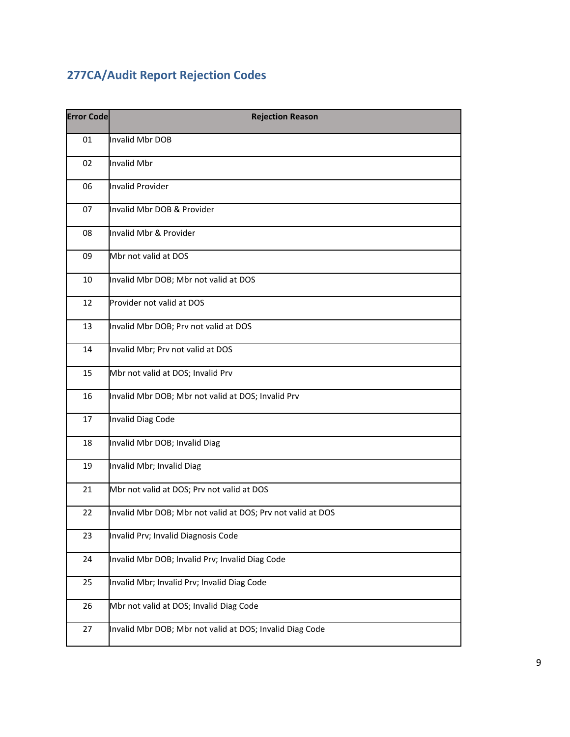## **277CA/Audit Report Rejection Codes**

| <b>Error Code</b> | <b>Rejection Reason</b>                                     |
|-------------------|-------------------------------------------------------------|
| 01                | Invalid Mbr DOB                                             |
| 02                | Invalid Mbr                                                 |
| 06                | <b>Invalid Provider</b>                                     |
| 07                | Invalid Mbr DOB & Provider                                  |
| 08                | Invalid Mbr & Provider                                      |
| 09                | Mbr not valid at DOS                                        |
| 10                | Invalid Mbr DOB; Mbr not valid at DOS                       |
| 12                | Provider not valid at DOS                                   |
| 13                | Invalid Mbr DOB; Prv not valid at DOS                       |
| 14                | Invalid Mbr; Prv not valid at DOS                           |
| 15                | Mbr not valid at DOS; Invalid Prv                           |
| 16                | Invalid Mbr DOB; Mbr not valid at DOS; Invalid Prv          |
| 17                | Invalid Diag Code                                           |
| 18                | Invalid Mbr DOB; Invalid Diag                               |
| 19                | Invalid Mbr; Invalid Diag                                   |
| 21                | Mbr not valid at DOS; Prv not valid at DOS                  |
| 22                | Invalid Mbr DOB; Mbr not valid at DOS; Prv not valid at DOS |
| 23                | Invalid Prv; Invalid Diagnosis Code                         |
| 24                | Invalid Mbr DOB; Invalid Prv; Invalid Diag Code             |
| 25                | Invalid Mbr; Invalid Prv; Invalid Diag Code                 |
| 26                | Mbr not valid at DOS; Invalid Diag Code                     |
| 27                | Invalid Mbr DOB; Mbr not valid at DOS; Invalid Diag Code    |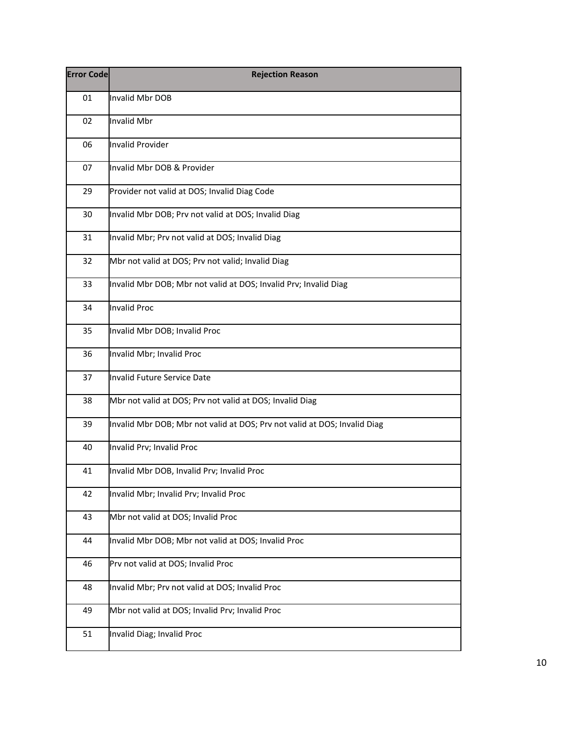| <b>Error Code</b> | <b>Rejection Reason</b>                                                   |
|-------------------|---------------------------------------------------------------------------|
| 01                | <b>Invalid Mbr DOB</b>                                                    |
| 02                | <b>Invalid Mbr</b>                                                        |
| 06                | <b>Invalid Provider</b>                                                   |
| 07                | Invalid Mbr DOB & Provider                                                |
| 29                | Provider not valid at DOS; Invalid Diag Code                              |
| 30                | Invalid Mbr DOB; Prv not valid at DOS; Invalid Diag                       |
| 31                | Invalid Mbr; Prv not valid at DOS; Invalid Diag                           |
| 32                | Mbr not valid at DOS; Prv not valid; Invalid Diag                         |
| 33                | Invalid Mbr DOB; Mbr not valid at DOS; Invalid Prv; Invalid Diag          |
| 34                | <b>Invalid Proc</b>                                                       |
| 35                | Invalid Mbr DOB; Invalid Proc                                             |
| 36                | Invalid Mbr; Invalid Proc                                                 |
| 37                | <b>Invalid Future Service Date</b>                                        |
| 38                | Mbr not valid at DOS; Prv not valid at DOS; Invalid Diag                  |
| 39                | Invalid Mbr DOB; Mbr not valid at DOS; Prv not valid at DOS; Invalid Diag |
| 40                | Invalid Prv; Invalid Proc                                                 |
| 41                | Invalid Mbr DOB, Invalid Prv; Invalid Proc                                |
| 42                | Invalid Mbr; Invalid Prv; Invalid Proc                                    |
| 43                | Mbr not valid at DOS; Invalid Proc                                        |
| 44                | Invalid Mbr DOB; Mbr not valid at DOS; Invalid Proc                       |
| 46                | Prv not valid at DOS; Invalid Proc                                        |
| 48                | Invalid Mbr; Prv not valid at DOS; Invalid Proc                           |
| 49                | Mbr not valid at DOS; Invalid Prv; Invalid Proc                           |
| 51                | Invalid Diag; Invalid Proc                                                |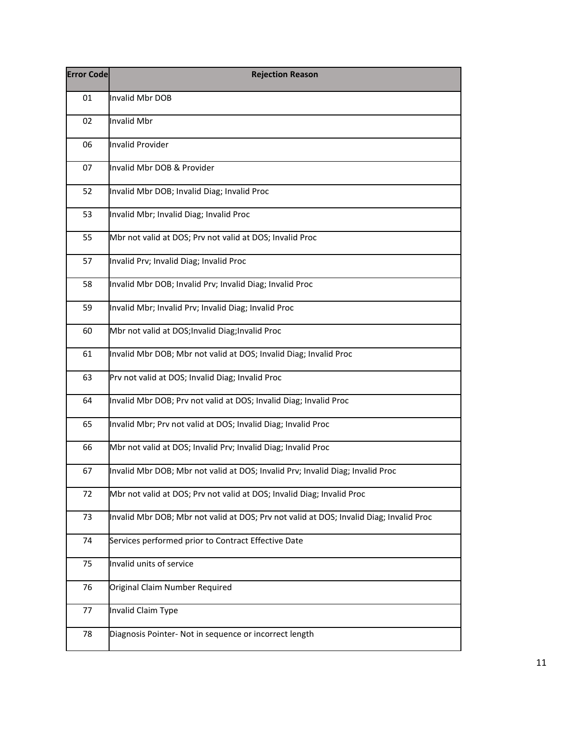| <b>Error Code</b> | <b>Rejection Reason</b>                                                                 |
|-------------------|-----------------------------------------------------------------------------------------|
| 01                | Invalid Mbr DOB                                                                         |
| 02                | Invalid Mbr                                                                             |
| 06                | <b>Invalid Provider</b>                                                                 |
| 07                | Invalid Mbr DOB & Provider                                                              |
| 52                | Invalid Mbr DOB; Invalid Diag; Invalid Proc                                             |
| 53                | Invalid Mbr; Invalid Diag; Invalid Proc                                                 |
| 55                | Mbr not valid at DOS; Prv not valid at DOS; Invalid Proc                                |
| 57                | Invalid Prv; Invalid Diag; Invalid Proc                                                 |
| 58                | Invalid Mbr DOB; Invalid Prv; Invalid Diag; Invalid Proc                                |
| 59                | Invalid Mbr; Invalid Prv; Invalid Diag; Invalid Proc                                    |
| 60                | Mbr not valid at DOS; Invalid Diag; Invalid Proc                                        |
| 61                | Invalid Mbr DOB; Mbr not valid at DOS; Invalid Diag; Invalid Proc                       |
| 63                | Prv not valid at DOS; Invalid Diag; Invalid Proc                                        |
| 64                | Invalid Mbr DOB; Prv not valid at DOS; Invalid Diag; Invalid Proc                       |
| 65                | Invalid Mbr; Prv not valid at DOS; Invalid Diag; Invalid Proc                           |
| 66                | Mbr not valid at DOS; Invalid Prv; Invalid Diag; Invalid Proc                           |
| 67                | Invalid Mbr DOB; Mbr not valid at DOS; Invalid Prv; Invalid Diag; Invalid Proc          |
| 72                | Mbr not valid at DOS; Prv not valid at DOS; Invalid Diag; Invalid Proc                  |
| 73                | Invalid Mbr DOB; Mbr not valid at DOS; Prv not valid at DOS; Invalid Diag; Invalid Proc |
| 74                | Services performed prior to Contract Effective Date                                     |
| 75                | Invalid units of service                                                                |
| 76                | Original Claim Number Required                                                          |
| 77                | Invalid Claim Type                                                                      |
| 78                | Diagnosis Pointer- Not in sequence or incorrect length                                  |